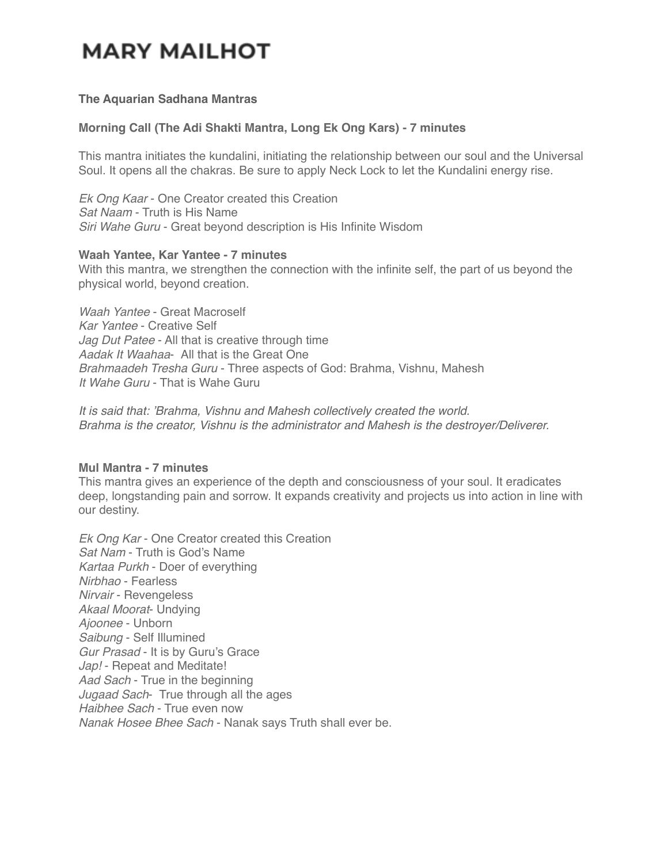## **MARY MAILHOT**

#### **The Aquarian Sadhana Mantras**

#### **Morning Call (The Adi Shakti Mantra, Long Ek Ong Kars) - 7 minutes**

This mantra initiates the kundalini, initiating the relationship between our soul and the Universal Soul. It opens all the chakras. Be sure to apply Neck Lock to let the Kundalini energy rise.

*Ek Ong Kaar* - One Creator created this Creation *Sat Naam* - Truth is His Name *Siri Wahe Guru* - Great beyond description is His Infinite Wisdom

#### **Waah Yantee, Kar Yantee - 7 minutes**

With this mantra, we strengthen the connection with the infinite self, the part of us beyond the physical world, beyond creation.

*Waah Yantee* - Great Macroself *Kar Yantee* - Creative Self *Jag Dut Patee* - All that is creative through time *Aadak It Waahaa*- All that is the Great One *Brahmaadeh Tresha Guru* - Three aspects of God: Brahma, Vishnu, Mahesh *It Wahe Guru* - That is Wahe Guru

*It is said that: 'Brahma, Vishnu and Mahesh collectively created the world. Brahma is the creator, Vishnu is the administrator and Mahesh is the destroyer/Deliverer.*

## **Mul Mantra - 7 minutes**

This mantra gives an experience of the depth and consciousness of your soul. It eradicates deep, longstanding pain and sorrow. It expands creativity and projects us into action in line with our destiny.

*Ek Ong Kar* - One Creator created this Creation *Sat Nam* - Truth is God's Name *Kartaa Purkh* - Doer of everything *Nirbhao* - Fearless *Nirvair* - Revengeless *Akaal Moorat*- Undying *Ajoonee* - Unborn *Saibung* - Self Illumined *Gur Prasad* - It is by Guru's Grace *Jap!* - Repeat and Meditate! *Aad Sach* - True in the beginning *Jugaad Sach*- True through all the ages *Haibhee Sach* - True even now *Nanak Hosee Bhee Sach* - Nanak says Truth shall ever be.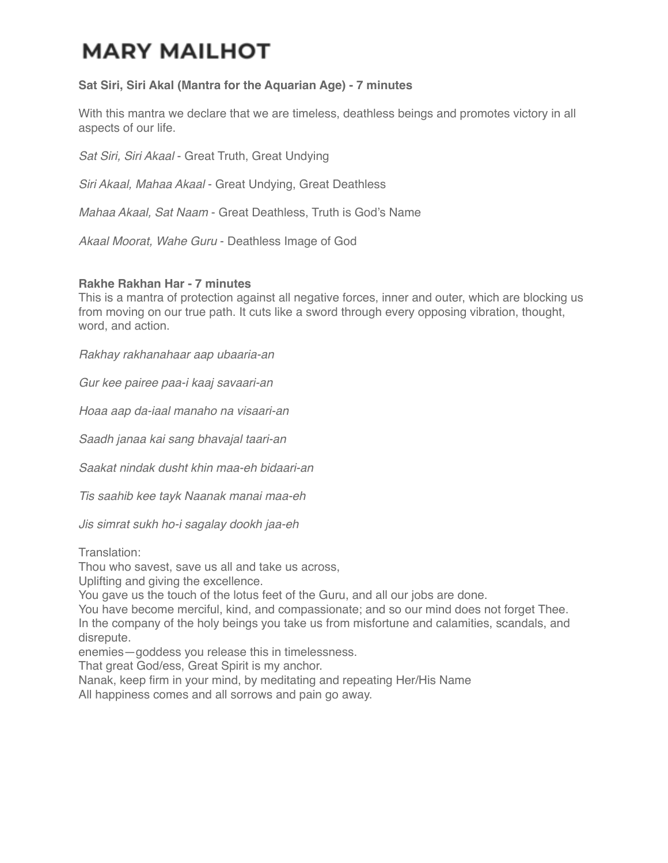# **MARY MAILHOT**

## **Sat Siri, Siri Akal (Mantra for the Aquarian Age) - 7 minutes**

With this mantra we declare that we are timeless, deathless beings and promotes victory in all aspects of our life.

*Sat Siri, Siri Akaal* - Great Truth, Great Undying

*Siri Akaal, Mahaa Akaal* - Great Undying, Great Deathless

*Mahaa Akaal, Sat Naam* - Great Deathless, Truth is God's Name

*Akaal Moorat, Wahe Guru* - Deathless Image of God

## **Rakhe Rakhan Har - 7 minutes**

This is a mantra of protection against all negative forces, inner and outer, which are blocking us from moving on our true path. It cuts like a sword through every opposing vibration, thought, word, and action.

*Rakhay rakhanahaar aap ubaaria-an*

*Gur kee pairee paa-i kaaj savaari-an*

*Hoaa aap da-iaal manaho na visaari-an*

*Saadh janaa kai sang bhavajal taari-an*

*Saakat nindak dusht khin maa-eh bidaari-an*

*Tis saahib kee tayk Naanak manai maa-eh*

*Jis simrat sukh ho-i sagalay dookh jaa-eh*

Translation:

Thou who savest, save us all and take us across,

Uplifting and giving the excellence.

You gave us the touch of the lotus feet of the Guru, and all our jobs are done.

You have become merciful, kind, and compassionate; and so our mind does not forget Thee. In the company of the holy beings you take us from misfortune and calamities, scandals, and disrepute.

enemies—goddess you release this in timelessness.

That great God/ess, Great Spirit is my anchor.

Nanak, keep firm in your mind, by meditating and repeating Her/His Name

All happiness comes and all sorrows and pain go away.